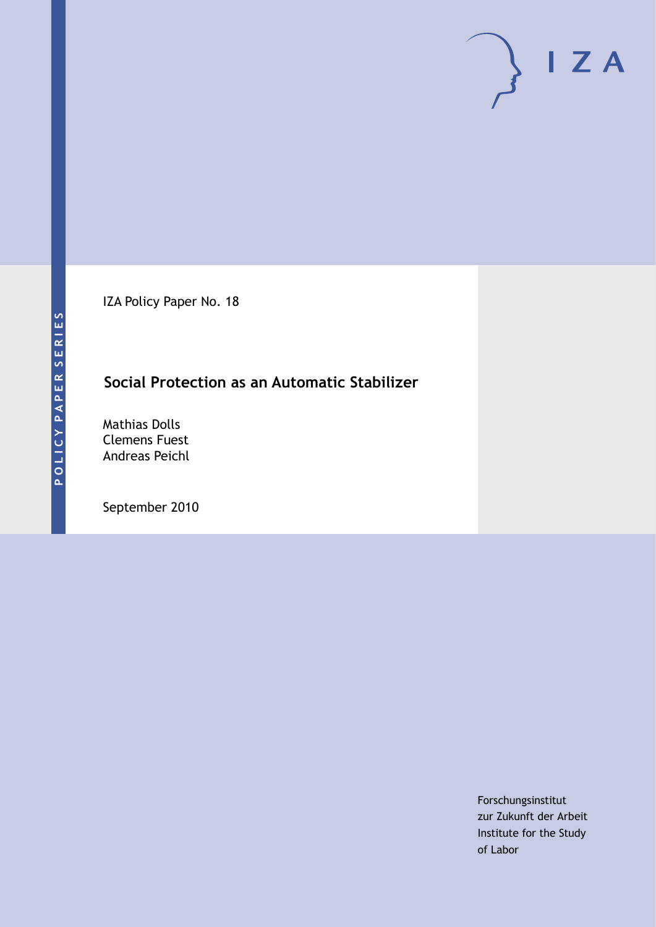IZA Policy Paper No. 18

### **Social Protection as an Automatic Stabilizer**

Mathias Dolls Clemens Fuest Andreas Peichl

September 2010

Forschungsinstitut zur Zukunft der Arbeit Institute for the Study of Labor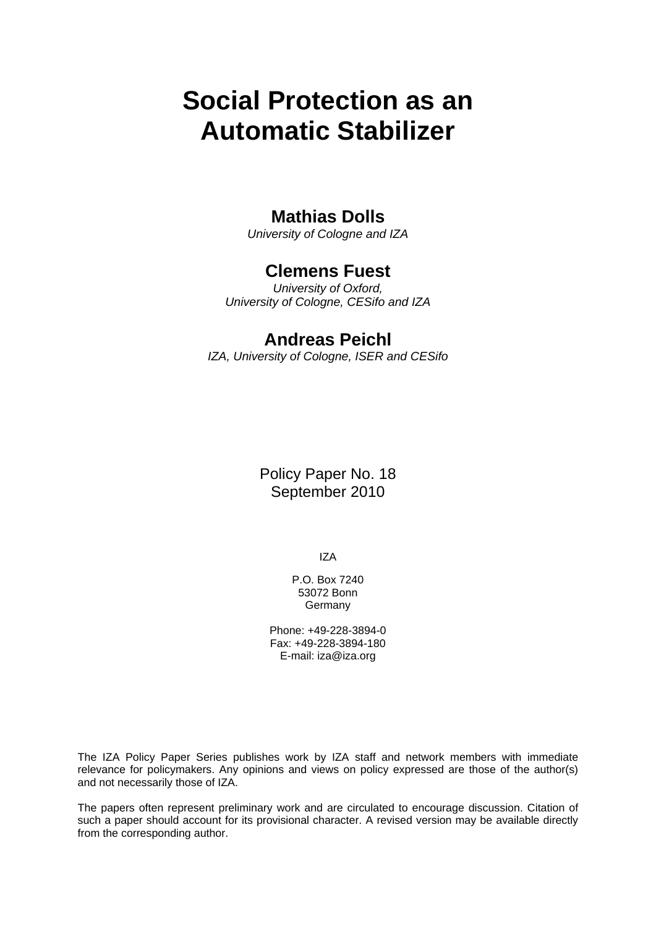# **Social Protection as an Automatic Stabilizer**

### **Mathias Dolls**

*University of Cologne and IZA* 

### **Clemens Fuest**

*University of Oxford, University of Cologne, CESifo and IZA* 

#### **Andreas Peichl**

*IZA, University of Cologne, ISER and CESifo* 

Policy Paper No. 18 September 2010

IZA

P.O. Box 7240 53072 Bonn Germany

Phone: +49-228-3894-0 Fax: +49-228-3894-180 E-mail: [iza@iza.org](mailto:iza@iza.org) 

The IZA Policy Paper Series publishes work by IZA staff and network members with immediate relevance for policymakers. Any opinions and views on policy expressed are those of the author(s) and not necessarily those of IZA.

The papers often represent preliminary work and are circulated to encourage discussion. Citation of such a paper should account for its provisional character. A revised version may be available directly from the corresponding author.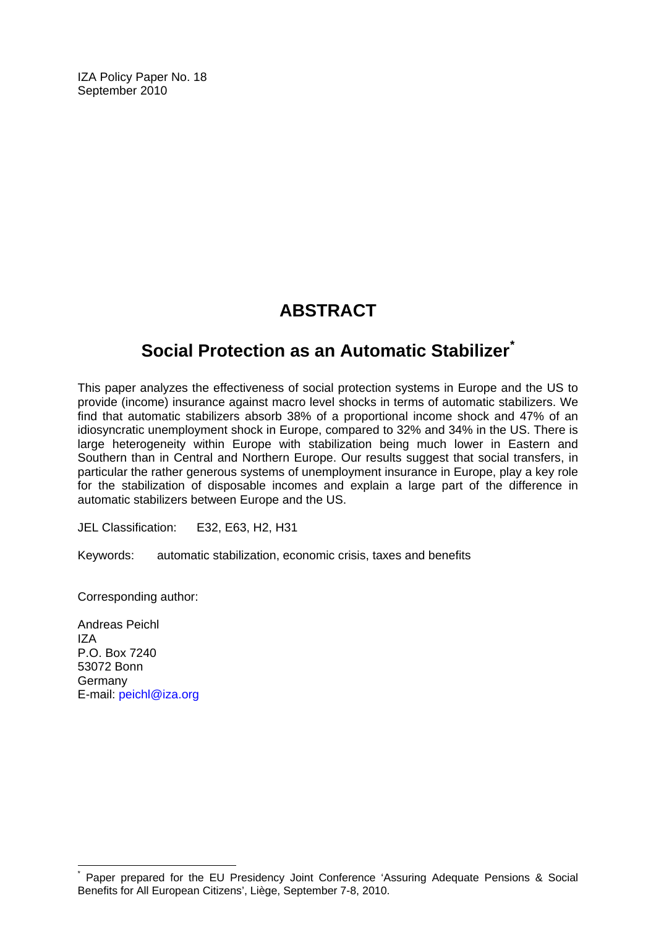IZA Policy Paper No. 18 September 2010

# **ABSTRACT**

# **Social Protection as an Automatic Stabilizer[\\*](#page-2-0)**

This paper analyzes the effectiveness of social protection systems in Europe and the US to provide (income) insurance against macro level shocks in terms of automatic stabilizers. We find that automatic stabilizers absorb 38% of a proportional income shock and 47% of an idiosyncratic unemployment shock in Europe, compared to 32% and 34% in the US. There is large heterogeneity within Europe with stabilization being much lower in Eastern and Southern than in Central and Northern Europe. Our results suggest that social transfers, in particular the rather generous systems of unemployment insurance in Europe, play a key role for the stabilization of disposable incomes and explain a large part of the difference in automatic stabilizers between Europe and the US.

JEL Classification: E32, E63, H2, H31

Keywords: automatic stabilization, economic crisis, taxes and benefits

Corresponding author:

Andreas Peichl IZA P.O. Box 7240 53072 Bonn Germany E-mail: [peichl@iza.org](mailto:peichl@iza.org) 

 $\overline{a}$ 

<span id="page-2-0"></span><sup>\*</sup> Paper prepared for the EU Presidency Joint Conference 'Assuring Adequate Pensions & Social Benefits for All European Citizens', Liège, September 7-8, 2010.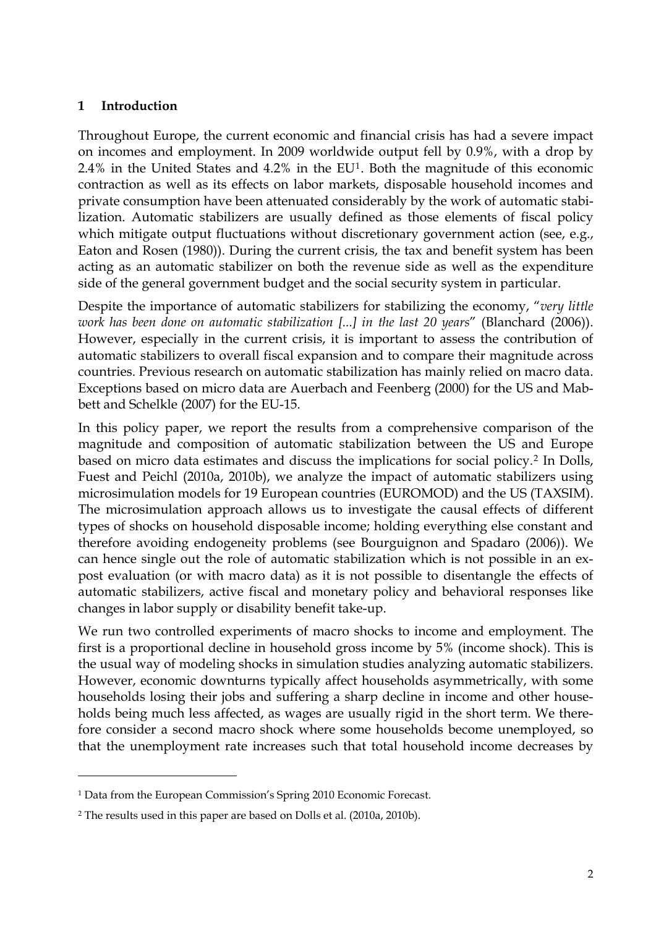#### **1 Introduction**

Throughout Europe, the current economic and financial crisis has had a severe impact on incomes and employment. In 2009 worldwide output fell by 0.9%, with a drop by 2.4% in the United States and 4.2% in the EU[1](#page-3-0). Both the magnitude of this economic contraction as well as its effects on labor markets, disposable household incomes and private consumption have been attenuated considerably by the work of automatic stabilization. Automatic stabilizers are usually defined as those elements of fiscal policy which mitigate output fluctuations without discretionary government action (see, e.g., Eaton and Rosen (1980)). During the current crisis, the tax and benefit system has been acting as an automatic stabilizer on both the revenue side as well as the expenditure side of the general government budget and the social security system in particular.

Despite the importance of automatic stabilizers for stabilizing the economy, "*very little work has been done on automatic stabilization [...] in the last 20 years*" (Blanchard (2006)). However, especially in the current crisis, it is important to assess the contribution of automatic stabilizers to overall fiscal expansion and to compare their magnitude across countries. Previous research on automatic stabilization has mainly relied on macro data. Exceptions based on micro data are Auerbach and Feenberg (2000) for the US and Mabbett and Schelkle (2007) for the EU-15.

In this policy paper, we report the results from a comprehensive comparison of the magnitude and composition of automatic stabilization between the US and Europe based on micro data estimates and discuss the implications for social policy.[2](#page-3-1) In Dolls, Fuest and Peichl (2010a, 2010b), we analyze the impact of automatic stabilizers using microsimulation models for 19 European countries (EUROMOD) and the US (TAXSIM). The microsimulation approach allows us to investigate the causal effects of different types of shocks on household disposable income; holding everything else constant and therefore avoiding endogeneity problems (see Bourguignon and Spadaro (2006)). We can hence single out the role of automatic stabilization which is not possible in an expost evaluation (or with macro data) as it is not possible to disentangle the effects of automatic stabilizers, active fiscal and monetary policy and behavioral responses like changes in labor supply or disability benefit take-up.

We run two controlled experiments of macro shocks to income and employment. The first is a proportional decline in household gross income by 5% (income shock). This is the usual way of modeling shocks in simulation studies analyzing automatic stabilizers. However, economic downturns typically affect households asymmetrically, with some households losing their jobs and suffering a sharp decline in income and other households being much less affected, as wages are usually rigid in the short term. We therefore consider a second macro shock where some households become unemployed, so that the unemployment rate increases such that total household income decreases by

-

<span id="page-3-0"></span><sup>1</sup> Data from the European Commission's Spring 2010 Economic Forecast.

<span id="page-3-1"></span><sup>2</sup> The results used in this paper are based on Dolls et al. (2010a, 2010b).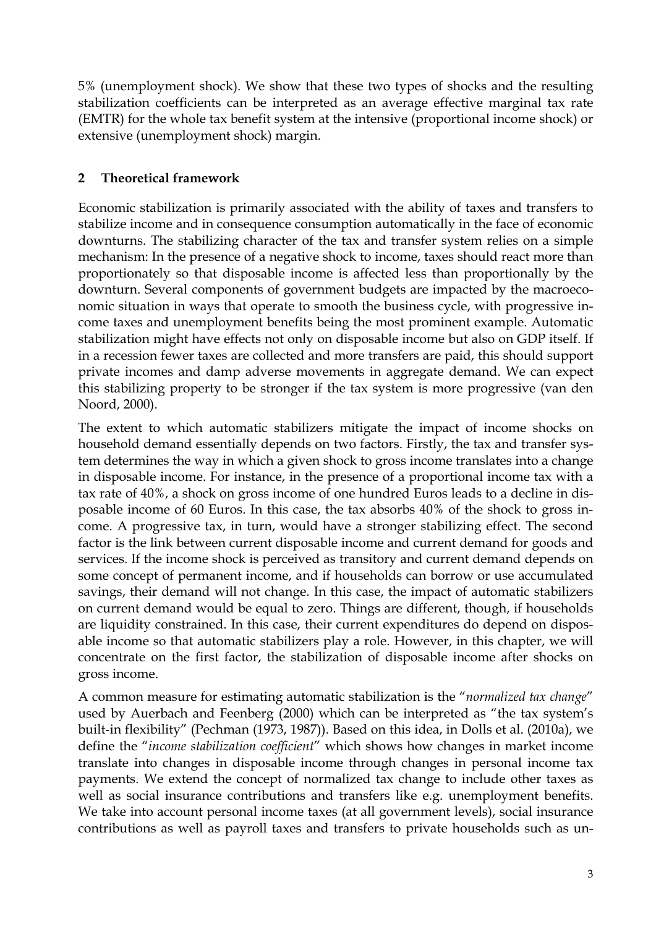5% (unemployment shock). We show that these two types of shocks and the resulting stabilization coefficients can be interpreted as an average effective marginal tax rate (EMTR) for the whole tax benefit system at the intensive (proportional income shock) or extensive (unemployment shock) margin.

#### **2 Theoretical framework**

Economic stabilization is primarily associated with the ability of taxes and transfers to stabilize income and in consequence consumption automatically in the face of economic downturns. The stabilizing character of the tax and transfer system relies on a simple mechanism: In the presence of a negative shock to income, taxes should react more than proportionately so that disposable income is affected less than proportionally by the downturn. Several components of government budgets are impacted by the macroeconomic situation in ways that operate to smooth the business cycle, with progressive income taxes and unemployment benefits being the most prominent example. Automatic stabilization might have effects not only on disposable income but also on GDP itself. If in a recession fewer taxes are collected and more transfers are paid, this should support private incomes and damp adverse movements in aggregate demand. We can expect this stabilizing property to be stronger if the tax system is more progressive (van den Noord, 2000).

The extent to which automatic stabilizers mitigate the impact of income shocks on household demand essentially depends on two factors. Firstly, the tax and transfer system determines the way in which a given shock to gross income translates into a change in disposable income. For instance, in the presence of a proportional income tax with a tax rate of 40%, a shock on gross income of one hundred Euros leads to a decline in disposable income of 60 Euros. In this case, the tax absorbs 40% of the shock to gross income. A progressive tax, in turn, would have a stronger stabilizing effect. The second factor is the link between current disposable income and current demand for goods and services. If the income shock is perceived as transitory and current demand depends on some concept of permanent income, and if households can borrow or use accumulated savings, their demand will not change. In this case, the impact of automatic stabilizers on current demand would be equal to zero. Things are different, though, if households are liquidity constrained. In this case, their current expenditures do depend on disposable income so that automatic stabilizers play a role. However, in this chapter, we will concentrate on the first factor, the stabilization of disposable income after shocks on gross income.

A common measure for estimating automatic stabilization is the "*normalized tax change*" used by Auerbach and Feenberg (2000) which can be interpreted as "the tax system's built-in flexibility" (Pechman (1973, 1987)). Based on this idea, in Dolls et al. (2010a), we define the "*income stabilization coefficient*" which shows how changes in market income translate into changes in disposable income through changes in personal income tax payments. We extend the concept of normalized tax change to include other taxes as well as social insurance contributions and transfers like e.g. unemployment benefits. We take into account personal income taxes (at all government levels), social insurance contributions as well as payroll taxes and transfers to private households such as un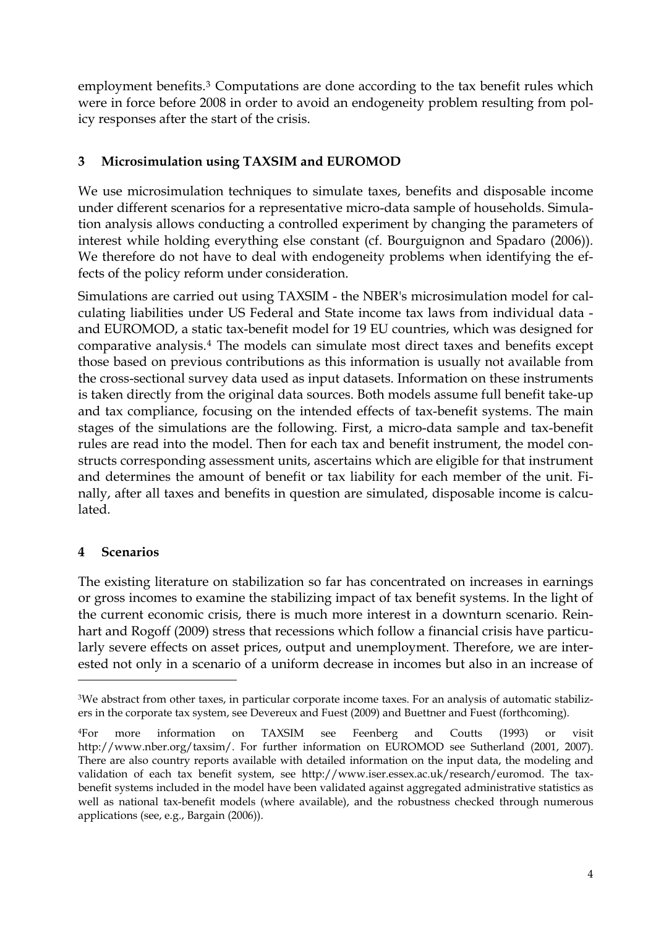employment benefits.<sup>[3](#page-5-0)</sup> Computations are done according to the tax benefit rules which were in force before 2008 in order to avoid an endogeneity problem resulting from policy responses after the start of the crisis.

#### **3 Microsimulation using TAXSIM and EUROMOD**

We use microsimulation techniques to simulate taxes, benefits and disposable income under different scenarios for a representative micro-data sample of households. Simulation analysis allows conducting a controlled experiment by changing the parameters of interest while holding everything else constant (cf. Bourguignon and Spadaro (2006)). We therefore do not have to deal with endogeneity problems when identifying the effects of the policy reform under consideration.

Simulations are carried out using TAXSIM - the NBER's microsimulation model for calculating liabilities under US Federal and State income tax laws from individual data and EUROMOD, a static tax-benefit model for 19 EU countries, which was designed for comparative analysis.[4](#page-5-1) The models can simulate most direct taxes and benefits except those based on previous contributions as this information is usually not available from the cross-sectional survey data used as input datasets. Information on these instruments is taken directly from the original data sources. Both models assume full benefit take-up and tax compliance, focusing on the intended effects of tax-benefit systems. The main stages of the simulations are the following. First, a micro-data sample and tax-benefit rules are read into the model. Then for each tax and benefit instrument, the model constructs corresponding assessment units, ascertains which are eligible for that instrument and determines the amount of benefit or tax liability for each member of the unit. Finally, after all taxes and benefits in question are simulated, disposable income is calculated.

#### **4 Scenarios**

-

The existing literature on stabilization so far has concentrated on increases in earnings or gross incomes to examine the stabilizing impact of tax benefit systems. In the light of the current economic crisis, there is much more interest in a downturn scenario. Reinhart and Rogoff (2009) stress that recessions which follow a financial crisis have particularly severe effects on asset prices, output and unemployment. Therefore, we are interested not only in a scenario of a uniform decrease in incomes but also in an increase of

<span id="page-5-0"></span><sup>&</sup>lt;sup>3</sup>We abstract from other taxes, in particular corporate income taxes. For an analysis of automatic stabilizers in the corporate tax system, see Devereux and Fuest (2009) and Buettner and Fuest (forthcoming).

<span id="page-5-1"></span><sup>4</sup>For more information on TAXSIM see Feenberg and Coutts (1993) or visit http://www.nber.org/taxsim/. For further information on EUROMOD see Sutherland (2001, 2007). There are also country reports available with detailed information on the input data, the modeling and validation of each tax benefit system, see http://www.iser.essex.ac.uk/research/euromod. The taxbenefit systems included in the model have been validated against aggregated administrative statistics as well as national tax-benefit models (where available), and the robustness checked through numerous applications (see, e.g., Bargain (2006)).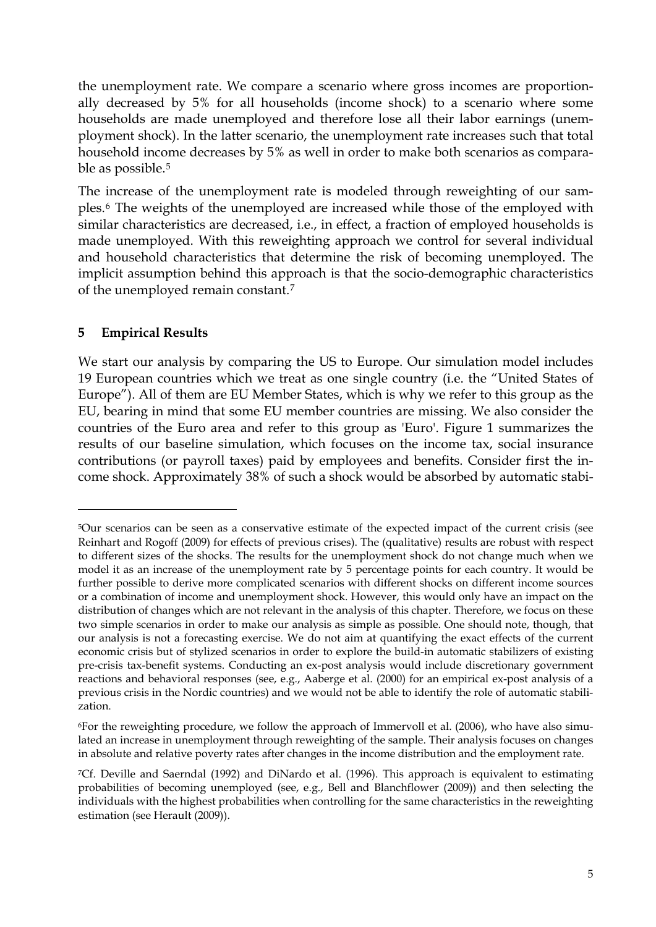the unemployment rate. We compare a scenario where gross incomes are proportionally decreased by 5% for all households (income shock) to a scenario where some households are made unemployed and therefore lose all their labor earnings (unemployment shock). In the latter scenario, the unemployment rate increases such that total household income decreases by 5% as well in order to make both scenarios as compara-ble as possible.<sup>[5](#page-6-0)</sup>

The increase of the unemployment rate is modeled through reweighting of our samples.[6](#page-6-1) The weights of the unemployed are increased while those of the employed with similar characteristics are decreased, i.e., in effect, a fraction of employed households is made unemployed. With this reweighting approach we control for several individual and household characteristics that determine the risk of becoming unemployed. The implicit assumption behind this approach is that the socio-demographic characteristics of the unemployed remain constant.[7](#page-6-2)

#### **5 Empirical Results**

-

We start our analysis by comparing the US to Europe. Our simulation model includes 19 European countries which we treat as one single country (i.e. the "United States of Europe"). All of them are EU Member States, which is why we refer to this group as the EU, bearing in mind that some EU member countries are missing. We also consider the countries of the Euro area and refer to this group as 'Euro'. Figure 1 summarizes the results of our baseline simulation, which focuses on the income tax, social insurance contributions (or payroll taxes) paid by employees and benefits. Consider first the income shock. Approximately 38% of such a shock would be absorbed by automatic stabi-

<span id="page-6-0"></span><sup>5</sup>Our scenarios can be seen as a conservative estimate of the expected impact of the current crisis (see Reinhart and Rogoff (2009) for effects of previous crises). The (qualitative) results are robust with respect to different sizes of the shocks. The results for the unemployment shock do not change much when we model it as an increase of the unemployment rate by 5 percentage points for each country. It would be further possible to derive more complicated scenarios with different shocks on different income sources or a combination of income and unemployment shock. However, this would only have an impact on the distribution of changes which are not relevant in the analysis of this chapter. Therefore, we focus on these two simple scenarios in order to make our analysis as simple as possible. One should note, though, that our analysis is not a forecasting exercise. We do not aim at quantifying the exact effects of the current economic crisis but of stylized scenarios in order to explore the build-in automatic stabilizers of existing pre-crisis tax-benefit systems. Conducting an ex-post analysis would include discretionary government reactions and behavioral responses (see, e.g., Aaberge et al. (2000) for an empirical ex-post analysis of a previous crisis in the Nordic countries) and we would not be able to identify the role of automatic stabilization.

<span id="page-6-1"></span><sup>6</sup>For the reweighting procedure, we follow the approach of Immervoll et al. (2006), who have also simulated an increase in unemployment through reweighting of the sample. Their analysis focuses on changes in absolute and relative poverty rates after changes in the income distribution and the employment rate.

<span id="page-6-2"></span><sup>7</sup>Cf. Deville and Saerndal (1992) and DiNardo et al. (1996). This approach is equivalent to estimating probabilities of becoming unemployed (see, e.g., Bell and Blanchflower (2009)) and then selecting the individuals with the highest probabilities when controlling for the same characteristics in the reweighting estimation (see Herault (2009)).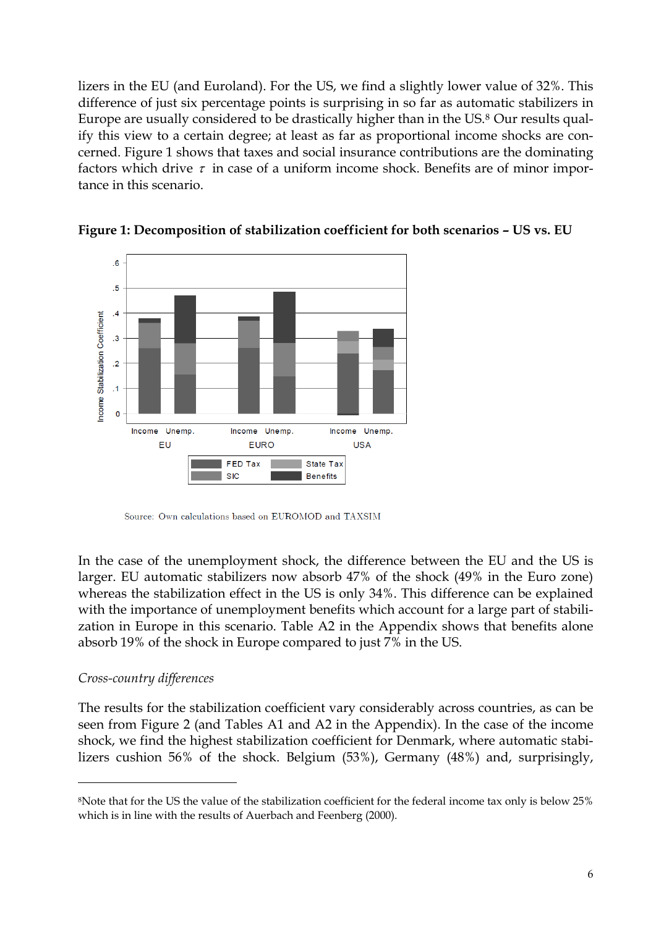lizers in the EU (and Euroland). For the US, we find a slightly lower value of 32%. This difference of just six percentage points is surprising in so far as automatic stabilizers in Europe are usually considered to be drastically higher than in the US.[8](#page-7-0) Our results qualify this view to a certain degree; at least as far as proportional income shocks are concerned. Figure 1 shows that taxes and social insurance contributions are the dominating factors which drive  $\tau$  in case of a uniform income shock. Benefits are of minor importance in this scenario.





Source: Own calculations based on EUROMOD and TAXSIM

In the case of the unemployment shock, the difference between the EU and the US is larger. EU automatic stabilizers now absorb 47% of the shock (49% in the Euro zone) whereas the stabilization effect in the US is only 34%. This difference can be explained with the importance of unemployment benefits which account for a large part of stabilization in Europe in this scenario. Table A2 in the Appendix shows that benefits alone absorb 19% of the shock in Europe compared to just 7% in the US.

#### *Cross-country differences*

-

The results for the stabilization coefficient vary considerably across countries, as can be seen from Figure 2 (and Tables A1 and A2 in the Appendix). In the case of the income shock, we find the highest stabilization coefficient for Denmark, where automatic stabilizers cushion 56% of the shock. Belgium (53%), Germany (48%) and, surprisingly,

<span id="page-7-0"></span><sup>8</sup>Note that for the US the value of the stabilization coefficient for the federal income tax only is below 25% which is in line with the results of Auerbach and Feenberg (2000).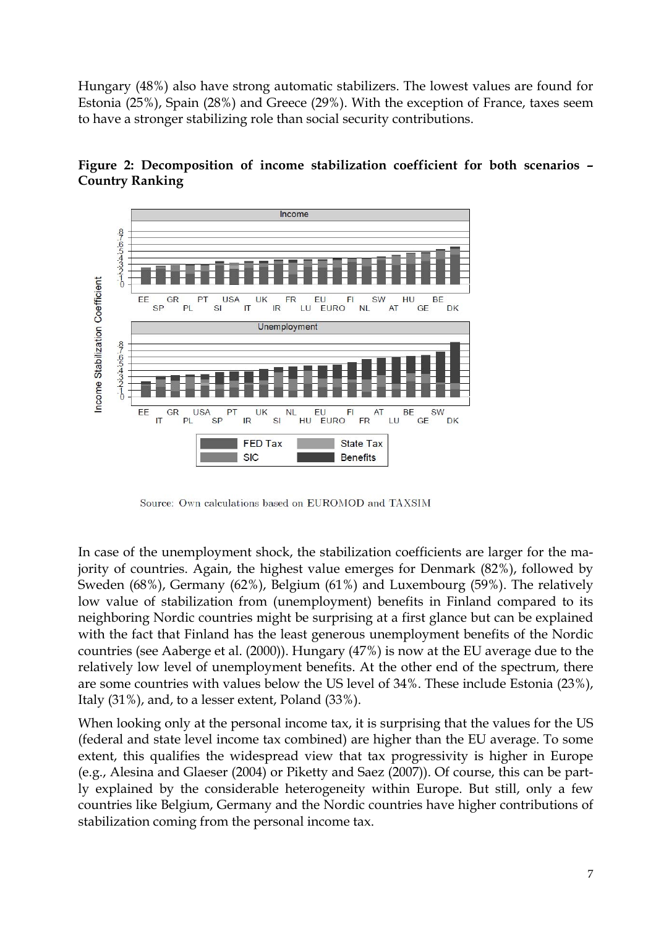Hungary (48%) also have strong automatic stabilizers. The lowest values are found for Estonia (25%), Spain (28%) and Greece (29%). With the exception of France, taxes seem to have a stronger stabilizing role than social security contributions.





Source: Own calculations based on EUROMOD and TAXSIM

In case of the unemployment shock, the stabilization coefficients are larger for the majority of countries. Again, the highest value emerges for Denmark (82%), followed by Sweden (68%), Germany (62%), Belgium (61%) and Luxembourg (59%). The relatively low value of stabilization from (unemployment) benefits in Finland compared to its neighboring Nordic countries might be surprising at a first glance but can be explained with the fact that Finland has the least generous unemployment benefits of the Nordic countries (see Aaberge et al. (2000)). Hungary (47%) is now at the EU average due to the relatively low level of unemployment benefits. At the other end of the spectrum, there are some countries with values below the US level of 34%. These include Estonia (23%), Italy (31%), and, to a lesser extent, Poland (33%).

When looking only at the personal income tax, it is surprising that the values for the US (federal and state level income tax combined) are higher than the EU average. To some extent, this qualifies the widespread view that tax progressivity is higher in Europe (e.g., Alesina and Glaeser (2004) or Piketty and Saez (2007)). Of course, this can be partly explained by the considerable heterogeneity within Europe. But still, only a few countries like Belgium, Germany and the Nordic countries have higher contributions of stabilization coming from the personal income tax.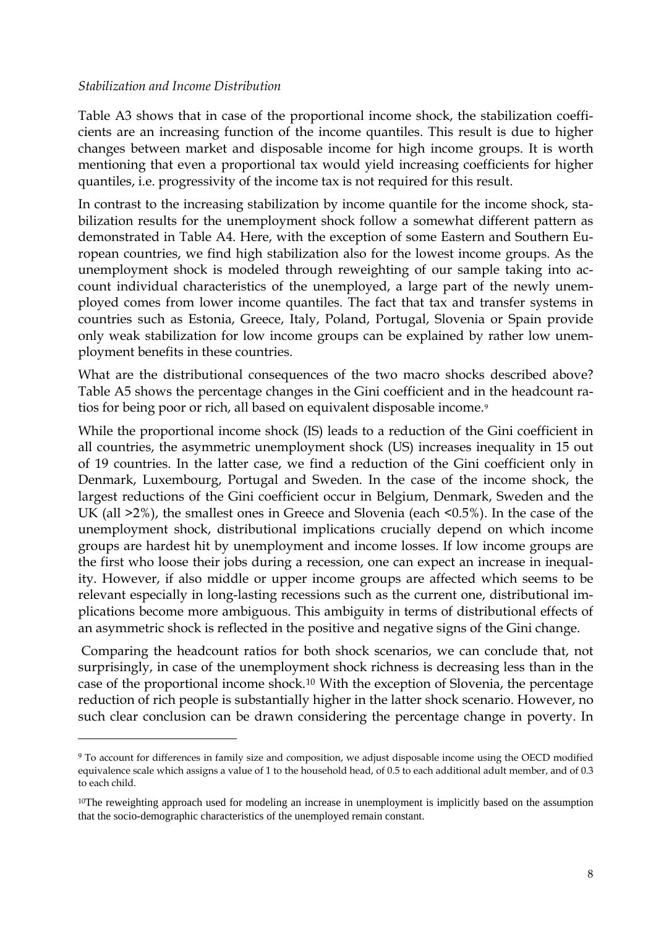#### *Stabilization and Income Distribution*

-

Table A3 shows that in case of the proportional income shock, the stabilization coefficients are an increasing function of the income quantiles. This result is due to higher changes between market and disposable income for high income groups. It is worth mentioning that even a proportional tax would yield increasing coefficients for higher quantiles, i.e. progressivity of the income tax is not required for this result.

In contrast to the increasing stabilization by income quantile for the income shock, stabilization results for the unemployment shock follow a somewhat different pattern as demonstrated in Table A4. Here, with the exception of some Eastern and Southern European countries, we find high stabilization also for the lowest income groups. As the unemployment shock is modeled through reweighting of our sample taking into account individual characteristics of the unemployed, a large part of the newly unemployed comes from lower income quantiles. The fact that tax and transfer systems in countries such as Estonia, Greece, Italy, Poland, Portugal, Slovenia or Spain provide only weak stabilization for low income groups can be explained by rather low unemployment benefits in these countries.

What are the distributional consequences of the two macro shocks described above? Table A5 shows the percentage changes in the Gini coefficient and in the headcount ra-tios for being poor or rich, all based on equivalent disposable income.<sup>[9](#page-9-0)</sup>

While the proportional income shock (IS) leads to a reduction of the Gini coefficient in all countries, the asymmetric unemployment shock (US) increases inequality in 15 out of 19 countries. In the latter case, we find a reduction of the Gini coefficient only in Denmark, Luxembourg, Portugal and Sweden. In the case of the income shock, the largest reductions of the Gini coefficient occur in Belgium, Denmark, Sweden and the UK (all >2%), the smallest ones in Greece and Slovenia (each <0.5%). In the case of the unemployment shock, distributional implications crucially depend on which income groups are hardest hit by unemployment and income losses. If low income groups are the first who loose their jobs during a recession, one can expect an increase in inequality. However, if also middle or upper income groups are affected which seems to be relevant especially in long-lasting recessions such as the current one, distributional implications become more ambiguous. This ambiguity in terms of distributional effects of an asymmetric shock is reflected in the positive and negative signs of the Gini change.

 Comparing the headcount ratios for both shock scenarios, we can conclude that, not surprisingly, in case of the unemployment shock richness is decreasing less than in the case of the proportional income shock.[10](#page-9-1) With the exception of Slovenia, the percentage reduction of rich people is substantially higher in the latter shock scenario. However, no such clear conclusion can be drawn considering the percentage change in poverty. In

<span id="page-9-0"></span><sup>9</sup> To account for differences in family size and composition, we adjust disposable income using the OECD modified equivalence scale which assigns a value of 1 to the household head, of 0.5 to each additional adult member, and of 0.3 to each child.

<span id="page-9-1"></span><sup>&</sup>lt;sup>10</sup>The reweighting approach used for modeling an increase in unemployment is implicitly based on the assumption that the socio-demographic characteristics of the unemployed remain constant.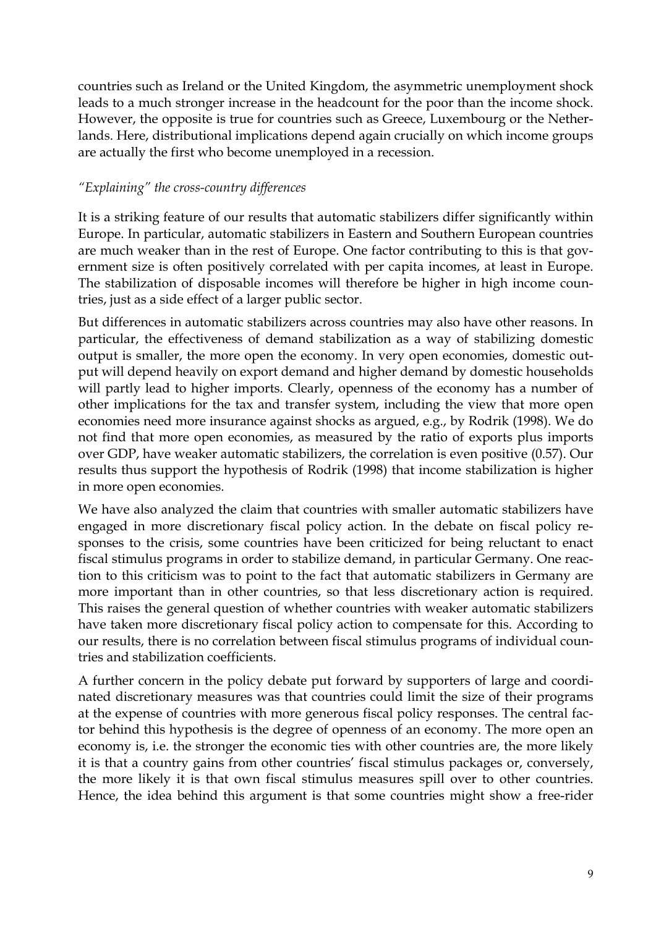countries such as Ireland or the United Kingdom, the asymmetric unemployment shock leads to a much stronger increase in the headcount for the poor than the income shock. However, the opposite is true for countries such as Greece, Luxembourg or the Netherlands. Here, distributional implications depend again crucially on which income groups are actually the first who become unemployed in a recession.

#### *"Explaining" the cross-country differences*

It is a striking feature of our results that automatic stabilizers differ significantly within Europe. In particular, automatic stabilizers in Eastern and Southern European countries are much weaker than in the rest of Europe. One factor contributing to this is that government size is often positively correlated with per capita incomes, at least in Europe. The stabilization of disposable incomes will therefore be higher in high income countries, just as a side effect of a larger public sector.

But differences in automatic stabilizers across countries may also have other reasons. In particular, the effectiveness of demand stabilization as a way of stabilizing domestic output is smaller, the more open the economy. In very open economies, domestic output will depend heavily on export demand and higher demand by domestic households will partly lead to higher imports. Clearly, openness of the economy has a number of other implications for the tax and transfer system, including the view that more open economies need more insurance against shocks as argued, e.g., by Rodrik (1998). We do not find that more open economies, as measured by the ratio of exports plus imports over GDP, have weaker automatic stabilizers, the correlation is even positive (0.57). Our results thus support the hypothesis of Rodrik (1998) that income stabilization is higher in more open economies.

We have also analyzed the claim that countries with smaller automatic stabilizers have engaged in more discretionary fiscal policy action. In the debate on fiscal policy responses to the crisis, some countries have been criticized for being reluctant to enact fiscal stimulus programs in order to stabilize demand, in particular Germany. One reaction to this criticism was to point to the fact that automatic stabilizers in Germany are more important than in other countries, so that less discretionary action is required. This raises the general question of whether countries with weaker automatic stabilizers have taken more discretionary fiscal policy action to compensate for this. According to our results, there is no correlation between fiscal stimulus programs of individual countries and stabilization coefficients.

A further concern in the policy debate put forward by supporters of large and coordinated discretionary measures was that countries could limit the size of their programs at the expense of countries with more generous fiscal policy responses. The central factor behind this hypothesis is the degree of openness of an economy. The more open an economy is, i.e. the stronger the economic ties with other countries are, the more likely it is that a country gains from other countries' fiscal stimulus packages or, conversely, the more likely it is that own fiscal stimulus measures spill over to other countries. Hence, the idea behind this argument is that some countries might show a free-rider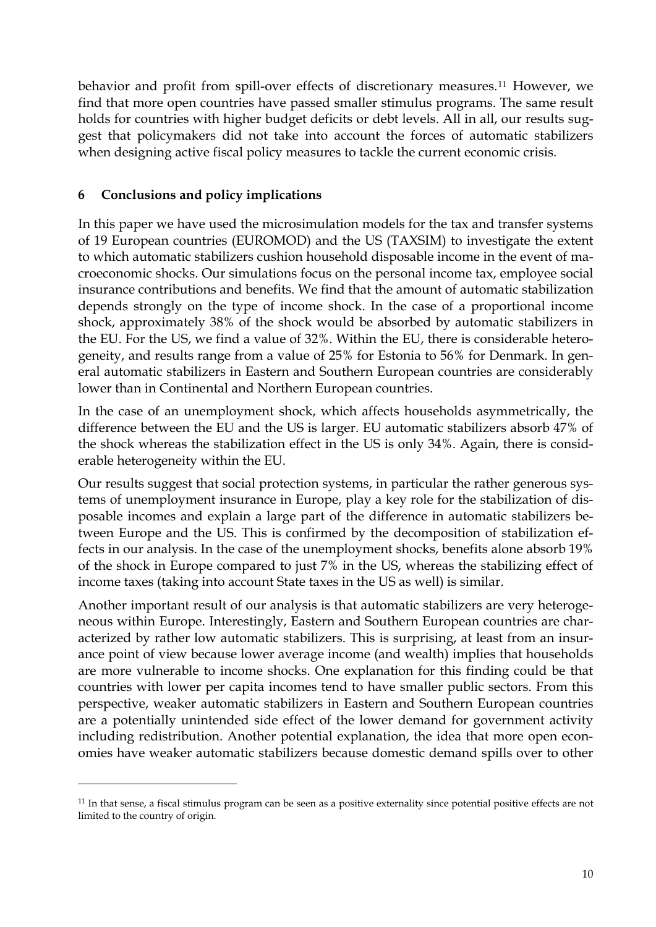behavior and profit from spill-over effects of discretionary measures.[11](#page-11-0) However, we find that more open countries have passed smaller stimulus programs. The same result holds for countries with higher budget deficits or debt levels. All in all, our results suggest that policymakers did not take into account the forces of automatic stabilizers when designing active fiscal policy measures to tackle the current economic crisis.

#### **6 Conclusions and policy implications**

-

In this paper we have used the microsimulation models for the tax and transfer systems of 19 European countries (EUROMOD) and the US (TAXSIM) to investigate the extent to which automatic stabilizers cushion household disposable income in the event of macroeconomic shocks. Our simulations focus on the personal income tax, employee social insurance contributions and benefits. We find that the amount of automatic stabilization depends strongly on the type of income shock. In the case of a proportional income shock, approximately 38% of the shock would be absorbed by automatic stabilizers in the EU. For the US, we find a value of 32%. Within the EU, there is considerable heterogeneity, and results range from a value of 25% for Estonia to 56% for Denmark. In general automatic stabilizers in Eastern and Southern European countries are considerably lower than in Continental and Northern European countries.

In the case of an unemployment shock, which affects households asymmetrically, the difference between the EU and the US is larger. EU automatic stabilizers absorb 47% of the shock whereas the stabilization effect in the US is only 34%. Again, there is considerable heterogeneity within the EU.

Our results suggest that social protection systems, in particular the rather generous systems of unemployment insurance in Europe, play a key role for the stabilization of disposable incomes and explain a large part of the difference in automatic stabilizers between Europe and the US. This is confirmed by the decomposition of stabilization effects in our analysis. In the case of the unemployment shocks, benefits alone absorb 19% of the shock in Europe compared to just 7% in the US, whereas the stabilizing effect of income taxes (taking into account State taxes in the US as well) is similar.

Another important result of our analysis is that automatic stabilizers are very heterogeneous within Europe. Interestingly, Eastern and Southern European countries are characterized by rather low automatic stabilizers. This is surprising, at least from an insurance point of view because lower average income (and wealth) implies that households are more vulnerable to income shocks. One explanation for this finding could be that countries with lower per capita incomes tend to have smaller public sectors. From this perspective, weaker automatic stabilizers in Eastern and Southern European countries are a potentially unintended side effect of the lower demand for government activity including redistribution. Another potential explanation, the idea that more open economies have weaker automatic stabilizers because domestic demand spills over to other

<span id="page-11-0"></span><sup>11</sup> In that sense, a fiscal stimulus program can be seen as a positive externality since potential positive effects are not limited to the country of origin.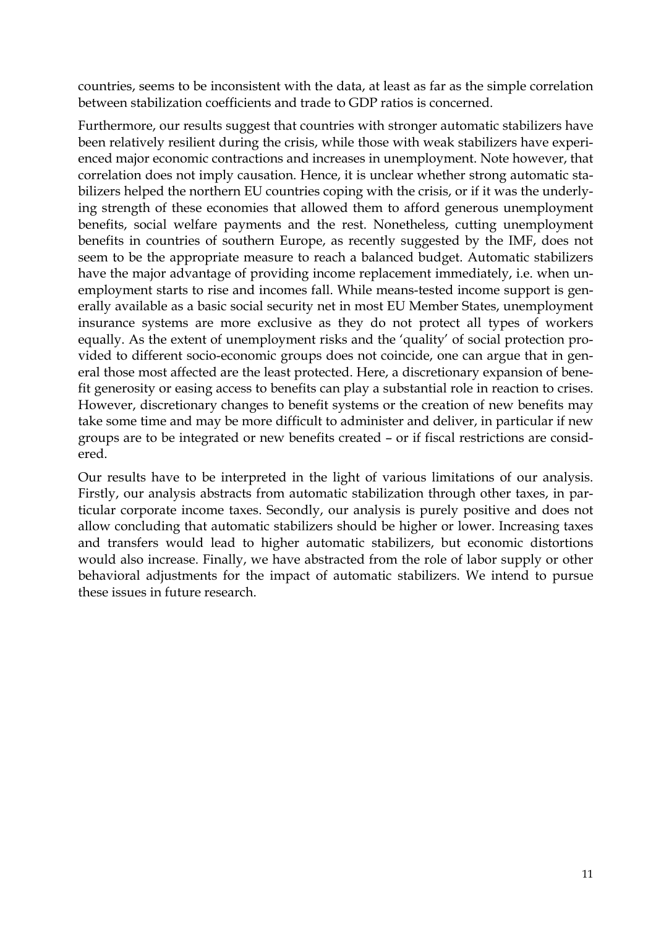countries, seems to be inconsistent with the data, at least as far as the simple correlation between stabilization coefficients and trade to GDP ratios is concerned.

Furthermore, our results suggest that countries with stronger automatic stabilizers have been relatively resilient during the crisis, while those with weak stabilizers have experienced major economic contractions and increases in unemployment. Note however, that correlation does not imply causation. Hence, it is unclear whether strong automatic stabilizers helped the northern EU countries coping with the crisis, or if it was the underlying strength of these economies that allowed them to afford generous unemployment benefits, social welfare payments and the rest. Nonetheless, cutting unemployment benefits in countries of southern Europe, as recently suggested by the IMF, does not seem to be the appropriate measure to reach a balanced budget. Automatic stabilizers have the major advantage of providing income replacement immediately, i.e. when unemployment starts to rise and incomes fall. While means-tested income support is generally available as a basic social security net in most EU Member States, unemployment insurance systems are more exclusive as they do not protect all types of workers equally. As the extent of unemployment risks and the 'quality' of social protection provided to different socio-economic groups does not coincide, one can argue that in general those most affected are the least protected. Here, a discretionary expansion of benefit generosity or easing access to benefits can play a substantial role in reaction to crises. However, discretionary changes to benefit systems or the creation of new benefits may take some time and may be more difficult to administer and deliver, in particular if new groups are to be integrated or new benefits created – or if fiscal restrictions are considered.

Our results have to be interpreted in the light of various limitations of our analysis. Firstly, our analysis abstracts from automatic stabilization through other taxes, in particular corporate income taxes. Secondly, our analysis is purely positive and does not allow concluding that automatic stabilizers should be higher or lower. Increasing taxes and transfers would lead to higher automatic stabilizers, but economic distortions would also increase. Finally, we have abstracted from the role of labor supply or other behavioral adjustments for the impact of automatic stabilizers. We intend to pursue these issues in future research.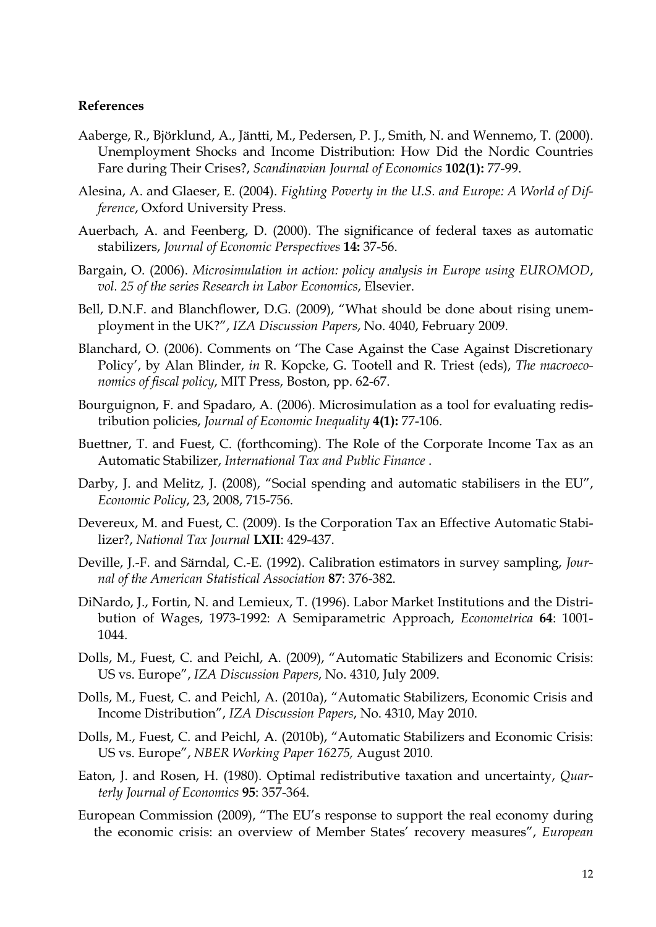#### **References**

- Aaberge, R., Björklund, A., Jäntti, M., Pedersen, P. J., Smith, N. and Wennemo, T. (2000). Unemployment Shocks and Income Distribution: How Did the Nordic Countries Fare during Their Crises?, *Scandinavian Journal of Economics* **102(1):** 77-99.
- Alesina, A. and Glaeser, E. (2004). *Fighting Poverty in the U.S. and Europe: A World of Difference*, Oxford University Press.
- Auerbach, A. and Feenberg, D. (2000). The significance of federal taxes as automatic stabilizers, *Journal of Economic Perspectives* **14:** 37-56.
- Bargain, O. (2006). *Microsimulation in action: policy analysis in Europe using EUROMOD*, *vol. 25 of the series Research in Labor Economics*, Elsevier.
- Bell, D.N.F. and Blanchflower, D.G. (2009), "What should be done about rising unemployment in the UK?", *IZA Discussion Papers*, No. 4040, February 2009.
- Blanchard, O. (2006). Comments on 'The Case Against the Case Against Discretionary Policy', by Alan Blinder, *in* R. Kopcke, G. Tootell and R. Triest (eds), *The macroeconomics of fiscal policy*, MIT Press, Boston, pp. 62-67.
- Bourguignon, F. and Spadaro, A. (2006). Microsimulation as a tool for evaluating redistribution policies, *Journal of Economic Inequality* **4(1):** 77-106.
- Buettner, T. and Fuest, C. (forthcoming). The Role of the Corporate Income Tax as an Automatic Stabilizer, *International Tax and Public Finance* .
- Darby, J. and Melitz, J. (2008), "Social spending and automatic stabilisers in the EU", *Economic Policy*, 23, 2008, 715-756.
- Devereux, M. and Fuest, C. (2009). Is the Corporation Tax an Effective Automatic Stabilizer?, *National Tax Journal* **LXII**: 429-437.
- Deville, J.-F. and Särndal, C.-E. (1992). Calibration estimators in survey sampling, *Journal of the American Statistical Association* **87**: 376-382.
- DiNardo, J., Fortin, N. and Lemieux, T. (1996). Labor Market Institutions and the Distribution of Wages, 1973-1992: A Semiparametric Approach, *Econometrica* **64**: 1001- 1044.
- Dolls, M., Fuest, C. and Peichl, A. (2009), "Automatic Stabilizers and Economic Crisis: US vs. Europe", *IZA Discussion Papers*, No. 4310, July 2009.
- Dolls, M., Fuest, C. and Peichl, A. (2010a), "Automatic Stabilizers, Economic Crisis and Income Distribution", *IZA Discussion Papers*, No. 4310, May 2010.
- Dolls, M., Fuest, C. and Peichl, A. (2010b), "Automatic Stabilizers and Economic Crisis: US vs. Europe", *NBER Working Paper 16275,* August 2010.
- Eaton, J. and Rosen, H. (1980). Optimal redistributive taxation and uncertainty, *Quarterly Journal of Economics* **95**: 357-364.
- European Commission (2009), "The EU's response to support the real economy during the economic crisis: an overview of Member States' recovery measures", *European*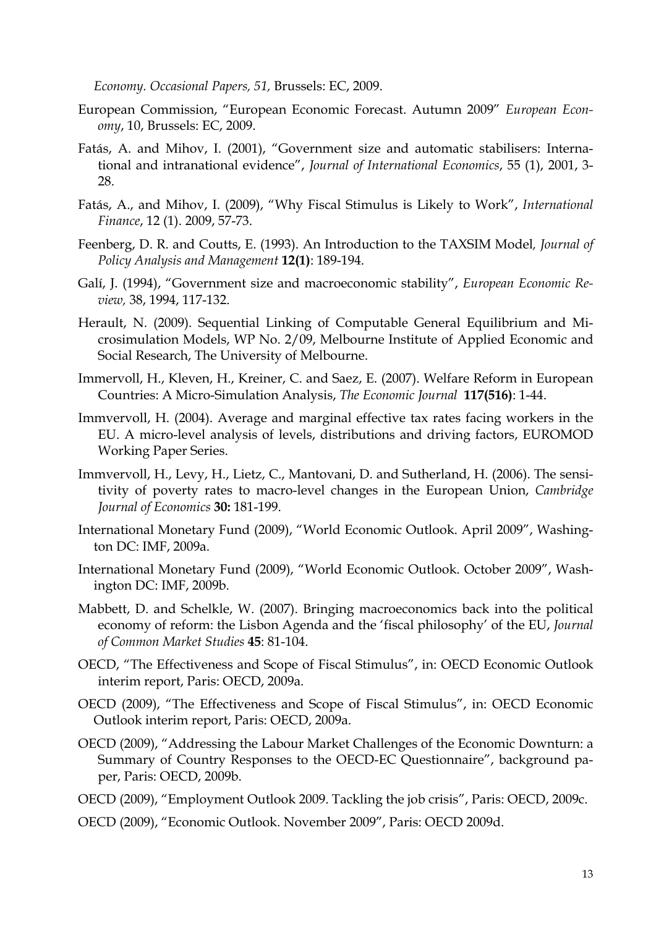*Economy. Occasional Papers, 51,* Brussels: EC, 2009.

- European Commission, "European Economic Forecast. Autumn 2009" *European Economy*, 10, Brussels: EC, 2009.
- Fatás, A. and Mihov, I. (2001), "Government size and automatic stabilisers: International and intranational evidence", *Journal of International Economics*, 55 (1), 2001, 3- 28.
- Fatás, A., and Mihov, I. (2009), "Why Fiscal Stimulus is Likely to Work", *International Finance*, 12 (1). 2009, 57-73.
- Feenberg, D. R. and Coutts, E. (1993). An Introduction to the TAXSIM Model*, Journal of Policy Analysis and Management* **12(1)**: 189-194.
- Galí, J. (1994), "Government size and macroeconomic stability", *European Economic Review,* 38, 1994, 117-132.
- Herault, N. (2009). Sequential Linking of Computable General Equilibrium and Microsimulation Models, WP No. 2/09, Melbourne Institute of Applied Economic and Social Research, The University of Melbourne.
- Immervoll, H., Kleven, H., Kreiner, C. and Saez, E. (2007). Welfare Reform in European Countries: A Micro-Simulation Analysis, *The Economic Journal* **117(516)**: 1-44.
- Immvervoll, H. (2004). Average and marginal effective tax rates facing workers in the EU. A micro-level analysis of levels, distributions and driving factors, EUROMOD Working Paper Series.
- Immvervoll, H., Levy, H., Lietz, C., Mantovani, D. and Sutherland, H. (2006). The sensitivity of poverty rates to macro-level changes in the European Union, *Cambridge Journal of Economics* **30:** 181-199.
- International Monetary Fund (2009), "World Economic Outlook. April 2009", Washington DC: IMF, 2009a.
- International Monetary Fund (2009), "World Economic Outlook. October 2009", Washington DC: IMF, 2009b.
- Mabbett, D. and Schelkle, W. (2007). Bringing macroeconomics back into the political economy of reform: the Lisbon Agenda and the 'fiscal philosophy' of the EU, *Journal of Common Market Studies* **45**: 81-104.
- OECD, "The Effectiveness and Scope of Fiscal Stimulus", in: OECD Economic Outlook interim report, Paris: OECD, 2009a.
- OECD (2009), "The Effectiveness and Scope of Fiscal Stimulus", in: OECD Economic Outlook interim report, Paris: OECD, 2009a.
- OECD (2009), "Addressing the Labour Market Challenges of the Economic Downturn: a Summary of Country Responses to the OECD-EC Questionnaire", background paper, Paris: OECD, 2009b.
- OECD (2009), "Employment Outlook 2009. Tackling the job crisis", Paris: OECD, 2009c.
- OECD (2009), "Economic Outlook. November 2009", Paris: OECD 2009d.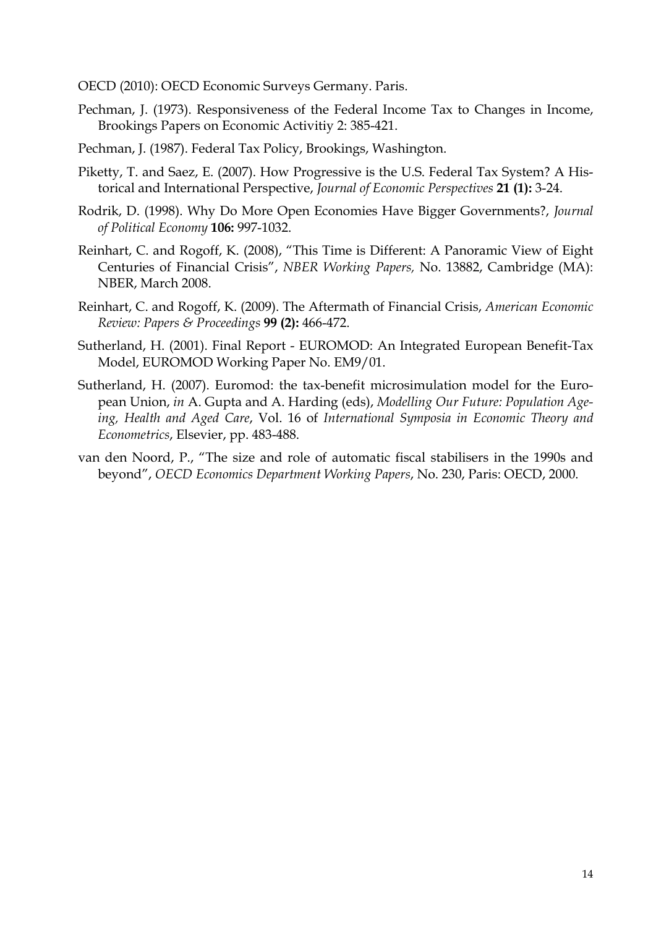OECD (2010): OECD Economic Surveys Germany. Paris.

- Pechman, J. (1973). Responsiveness of the Federal Income Tax to Changes in Income, Brookings Papers on Economic Activitiy 2: 385-421.
- Pechman, J. (1987). Federal Tax Policy, Brookings, Washington.
- Piketty, T. and Saez, E. (2007). How Progressive is the U.S. Federal Tax System? A Historical and International Perspective, *Journal of Economic Perspectives* **21 (1):** 3-24.
- Rodrik, D. (1998). Why Do More Open Economies Have Bigger Governments?, *Journal of Political Economy* **106:** 997-1032.
- Reinhart, C. and Rogoff, K. (2008), "This Time is Different: A Panoramic View of Eight Centuries of Financial Crisis", *NBER Working Papers,* No. 13882, Cambridge (MA): NBER, March 2008.
- Reinhart, C. and Rogoff, K. (2009). The Aftermath of Financial Crisis, *American Economic Review: Papers & Proceedings* **99 (2):** 466-472.
- Sutherland, H. (2001). Final Report EUROMOD: An Integrated European Benefit-Tax Model, EUROMOD Working Paper No. EM9/01.
- Sutherland, H. (2007). Euromod: the tax-benefit microsimulation model for the European Union, *in* A. Gupta and A. Harding (eds), *Modelling Our Future: Population Ageing, Health and Aged Care*, Vol. 16 of *International Symposia in Economic Theory and Econometrics*, Elsevier, pp. 483-488.
- van den Noord, P., "The size and role of automatic fiscal stabilisers in the 1990s and beyond", *OECD Economics Department Working Papers*, No. 230, Paris: OECD, 2000.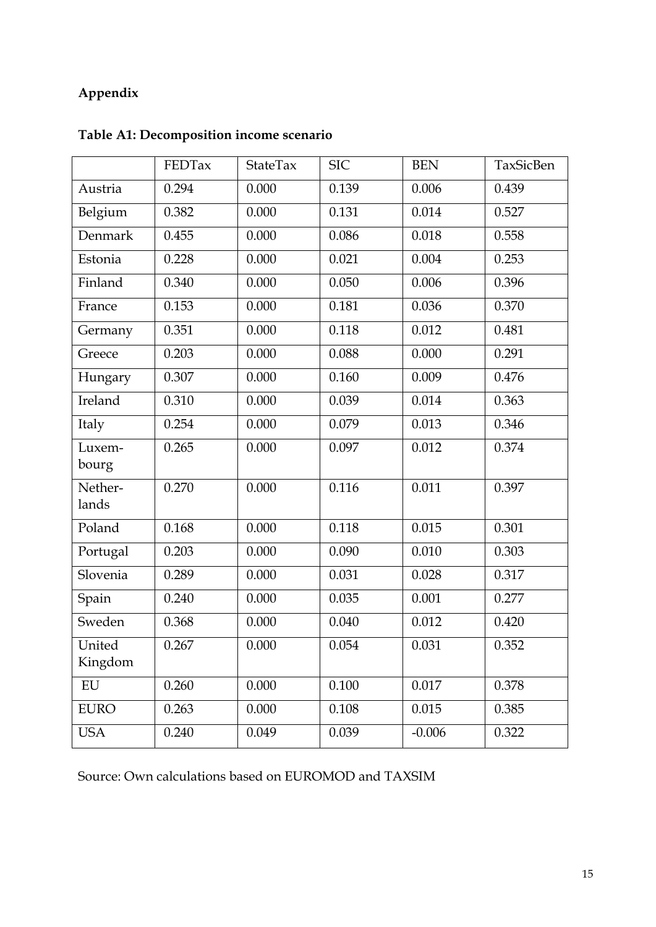## **Appendix**

|                   | FEDTax | StateTax | <b>SIC</b> | <b>BEN</b> | TaxSicBen |
|-------------------|--------|----------|------------|------------|-----------|
| Austria           | 0.294  | 0.000    | 0.139      | 0.006      | 0.439     |
| Belgium           | 0.382  | 0.000    | 0.131      | 0.014      | 0.527     |
| Denmark           | 0.455  | 0.000    | 0.086      | 0.018      | 0.558     |
| Estonia           | 0.228  | 0.000    | 0.021      | 0.004      | 0.253     |
| Finland           | 0.340  | 0.000    | 0.050      | 0.006      | 0.396     |
| France            | 0.153  | 0.000    | 0.181      | 0.036      | 0.370     |
| Germany           | 0.351  | 0.000    | 0.118      | 0.012      | 0.481     |
| Greece            | 0.203  | 0.000    | 0.088      | 0.000      | 0.291     |
| Hungary           | 0.307  | 0.000    | 0.160      | 0.009      | 0.476     |
| Ireland           | 0.310  | 0.000    | 0.039      | 0.014      | 0.363     |
| Italy             | 0.254  | 0.000    | 0.079      | 0.013      | 0.346     |
| Luxem-<br>bourg   | 0.265  | 0.000    | 0.097      | 0.012      | 0.374     |
| Nether-<br>lands  | 0.270  | 0.000    | 0.116      | 0.011      | 0.397     |
| Poland            | 0.168  | 0.000    | 0.118      | 0.015      | 0.301     |
| Portugal          | 0.203  | 0.000    | 0.090      | 0.010      | 0.303     |
| Slovenia          | 0.289  | 0.000    | 0.031      | 0.028      | 0.317     |
| Spain             | 0.240  | 0.000    | 0.035      | 0.001      | 0.277     |
| Sweden            | 0.368  | 0.000    | 0.040      | 0.012      | 0.420     |
| United<br>Kingdom | 0.267  | 0.000    | 0.054      | 0.031      | 0.352     |
| ${\rm EU}$        | 0.260  | 0.000    | 0.100      | 0.017      | 0.378     |
| <b>EURO</b>       | 0.263  | 0.000    | 0.108      | 0.015      | 0.385     |
| <b>USA</b>        | 0.240  | 0.049    | 0.039      | $-0.006$   | 0.322     |

# **Table A1: Decomposition income scenario**

Source: Own calculations based on EUROMOD and TAXSIM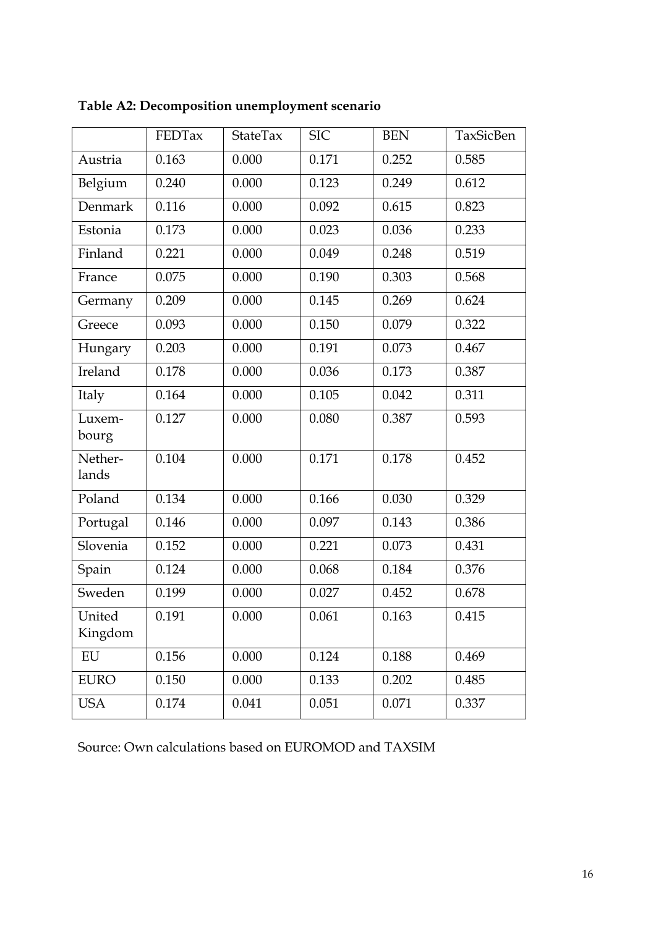|                   | FEDTax | StateTax | <b>SIC</b> | <b>BEN</b> | TaxSicBen |
|-------------------|--------|----------|------------|------------|-----------|
| Austria           | 0.163  | 0.000    | 0.171      | 0.252      | 0.585     |
| Belgium           | 0.240  | 0.000    | 0.123      | 0.249      | 0.612     |
| Denmark           | 0.116  | 0.000    | 0.092      | 0.615      | 0.823     |
| Estonia           | 0.173  | 0.000    | 0.023      | 0.036      | 0.233     |
| Finland           | 0.221  | 0.000    | 0.049      | 0.248      | 0.519     |
| France            | 0.075  | 0.000    | 0.190      | 0.303      | 0.568     |
| Germany           | 0.209  | 0.000    | 0.145      | 0.269      | 0.624     |
| Greece            | 0.093  | 0.000    | 0.150      | 0.079      | 0.322     |
| Hungary           | 0.203  | 0.000    | 0.191      | 0.073      | 0.467     |
| Ireland           | 0.178  | 0.000    | 0.036      | 0.173      | 0.387     |
| Italy             | 0.164  | 0.000    | 0.105      | 0.042      | 0.311     |
| Luxem-<br>bourg   | 0.127  | 0.000    | 0.080      | 0.387      | 0.593     |
| Nether-<br>lands  | 0.104  | 0.000    | 0.171      | 0.178      | 0.452     |
| Poland            | 0.134  | 0.000    | 0.166      | 0.030      | 0.329     |
| Portugal          | 0.146  | 0.000    | 0.097      | 0.143      | 0.386     |
| Slovenia          | 0.152  | 0.000    | 0.221      | 0.073      | 0.431     |
| Spain             | 0.124  | 0.000    | 0.068      | 0.184      | 0.376     |
| Sweden            | 0.199  | 0.000    | 0.027      | 0.452      | 0.678     |
| United<br>Kingdom | 0.191  | 0.000    | 0.061      | 0.163      | 0.415     |
| EU                | 0.156  | 0.000    | 0.124      | 0.188      | 0.469     |
| <b>EURO</b>       | 0.150  | 0.000    | 0.133      | 0.202      | 0.485     |
| <b>USA</b>        | 0.174  | 0.041    | 0.051      | 0.071      | 0.337     |

**Table A2: Decomposition unemployment scenario** 

Source: Own calculations based on EUROMOD and TAXSIM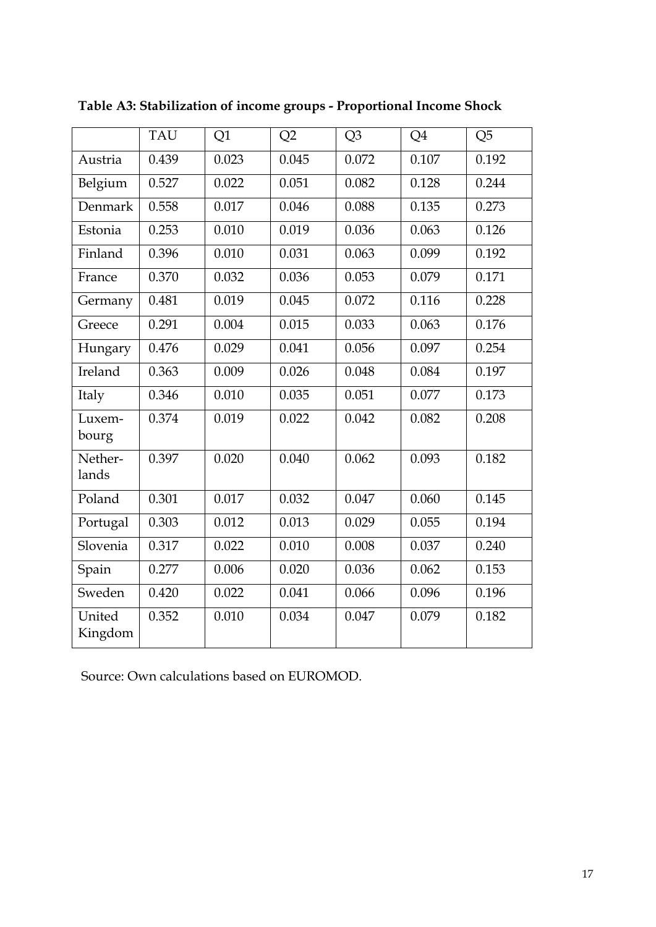|                   | <b>TAU</b> | Q1    | Q2    | Q <sub>3</sub> | Q4    | Q <sub>5</sub> |
|-------------------|------------|-------|-------|----------------|-------|----------------|
| Austria           | 0.439      | 0.023 | 0.045 | 0.072          | 0.107 | 0.192          |
| Belgium           | 0.527      | 0.022 | 0.051 | 0.082          | 0.128 | 0.244          |
| <b>Denmark</b>    | 0.558      | 0.017 | 0.046 | 0.088          | 0.135 | 0.273          |
| Estonia           | 0.253      | 0.010 | 0.019 | 0.036          | 0.063 | 0.126          |
| Finland           | 0.396      | 0.010 | 0.031 | 0.063          | 0.099 | 0.192          |
| France            | 0.370      | 0.032 | 0.036 | 0.053          | 0.079 | 0.171          |
| Germany           | 0.481      | 0.019 | 0.045 | 0.072          | 0.116 | 0.228          |
| Greece            | 0.291      | 0.004 | 0.015 | 0.033          | 0.063 | 0.176          |
| Hungary           | 0.476      | 0.029 | 0.041 | 0.056          | 0.097 | 0.254          |
| Ireland           | 0.363      | 0.009 | 0.026 | 0.048          | 0.084 | 0.197          |
| Italy             | 0.346      | 0.010 | 0.035 | 0.051          | 0.077 | 0.173          |
| Luxem-<br>bourg   | 0.374      | 0.019 | 0.022 | 0.042          | 0.082 | 0.208          |
| Nether-<br>lands  | 0.397      | 0.020 | 0.040 | 0.062          | 0.093 | 0.182          |
| Poland            | 0.301      | 0.017 | 0.032 | 0.047          | 0.060 | 0.145          |
| Portugal          | 0.303      | 0.012 | 0.013 | 0.029          | 0.055 | 0.194          |
| Slovenia          | 0.317      | 0.022 | 0.010 | 0.008          | 0.037 | 0.240          |
| Spain             | 0.277      | 0.006 | 0.020 | 0.036          | 0.062 | 0.153          |
| Sweden            | 0.420      | 0.022 | 0.041 | 0.066          | 0.096 | 0.196          |
| United<br>Kingdom | 0.352      | 0.010 | 0.034 | 0.047          | 0.079 | 0.182          |

**Table A3: Stabilization of income groups - Proportional Income Shock** 

Source: Own calculations based on EUROMOD.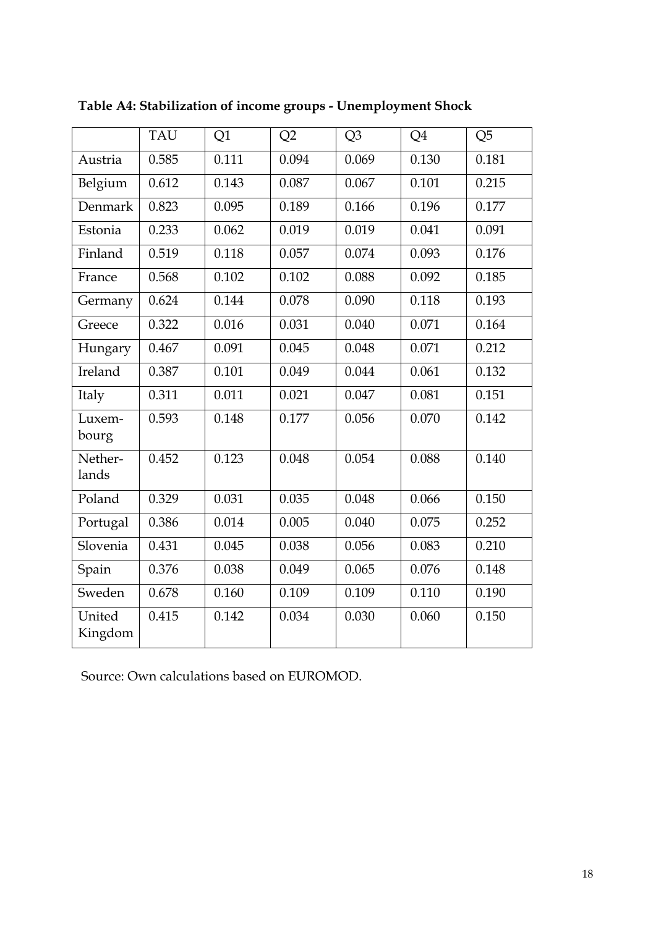|                   | <b>TAU</b> | Q1    | Q2    | Q3    | Q4    | Q <sub>5</sub> |
|-------------------|------------|-------|-------|-------|-------|----------------|
| Austria           | 0.585      | 0.111 | 0.094 | 0.069 | 0.130 | 0.181          |
| Belgium           | 0.612      | 0.143 | 0.087 | 0.067 | 0.101 | 0.215          |
| Denmark           | 0.823      | 0.095 | 0.189 | 0.166 | 0.196 | 0.177          |
| Estonia           | 0.233      | 0.062 | 0.019 | 0.019 | 0.041 | 0.091          |
| Finland           | 0.519      | 0.118 | 0.057 | 0.074 | 0.093 | 0.176          |
| France            | 0.568      | 0.102 | 0.102 | 0.088 | 0.092 | 0.185          |
| Germany           | 0.624      | 0.144 | 0.078 | 0.090 | 0.118 | 0.193          |
| Greece            | 0.322      | 0.016 | 0.031 | 0.040 | 0.071 | 0.164          |
| Hungary           | 0.467      | 0.091 | 0.045 | 0.048 | 0.071 | 0.212          |
| Ireland           | 0.387      | 0.101 | 0.049 | 0.044 | 0.061 | 0.132          |
| Italy             | 0.311      | 0.011 | 0.021 | 0.047 | 0.081 | 0.151          |
| Luxem-<br>bourg   | 0.593      | 0.148 | 0.177 | 0.056 | 0.070 | 0.142          |
| Nether-<br>lands  | 0.452      | 0.123 | 0.048 | 0.054 | 0.088 | 0.140          |
| Poland            | 0.329      | 0.031 | 0.035 | 0.048 | 0.066 | 0.150          |
| Portugal          | 0.386      | 0.014 | 0.005 | 0.040 | 0.075 | 0.252          |
| Slovenia          | 0.431      | 0.045 | 0.038 | 0.056 | 0.083 | 0.210          |
| Spain             | 0.376      | 0.038 | 0.049 | 0.065 | 0.076 | 0.148          |
| Sweden            | 0.678      | 0.160 | 0.109 | 0.109 | 0.110 | 0.190          |
| United<br>Kingdom | 0.415      | 0.142 | 0.034 | 0.030 | 0.060 | 0.150          |

**Table A4: Stabilization of income groups - Unemployment Shock** 

Source: Own calculations based on EUROMOD.